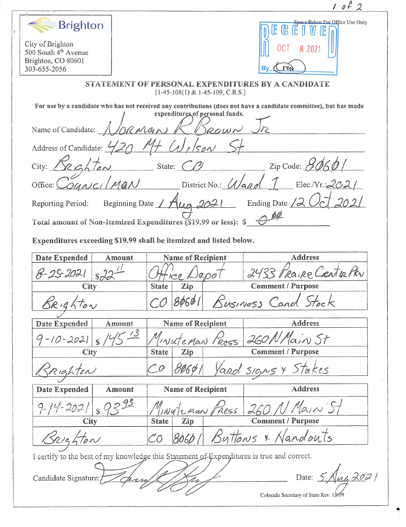$10f2$  $\begin{array}{c} \mathsf{Bright} \ \mathsf{E} \ \mathbb{E} \ \mathbb{E} \ \mathbb{E} \ \mathbb{E} \ \mathbb{E} \ \mathbb{E} \ \mathbb{E} \ \mathbb{E} \ \mathbb{E} \end{array}$  $\mathbb{R}$ City of Brighton OCT 8 2021 500 South 4<sup>th</sup> Avenue Brighton, CO 80601 303-655-2056  $\widetilde{\mathcal{M}}$ By, STATEMENT OF PERSONAL EXPENDITURES BY A CANDIDATE  $[1-45-108(1) & 1-45-109, C.R.S.]$ For use by a candidate who has not received any contributions (does not have a candidate committee), but has made<br>  $\int$  expenditures of personal funds. , /  $\mathbb{R}^2$  for  $\mathbb{R}^2$ Name of Candidate:  $\triangle$  /0*0*  $\triangle$ Address of Candidate:  $\frac{920}{1}$  CV,  $\frac{156}{1}$ <br>City:  $\frac{6}{1}$  C/  $City: \angle \times \triangle \uparrow \angle \sim \angle$  State:  $CPI$  Zip Code:  $B060$ yf Office:  $\bigcirc$  and  $\bigvee$  Man District No.:  $\bigvee$  And  $\bigvee$  Elec./Yr.:202 Reporting Period: Beginning Date /  $Aug 2021$  Ending Date /2 0cl 202/ t  $\frac{\delta \phi}{\sqrt{2}}$ Total amount of Non-itemized Expenditures (S19.99 or less): S Expenditures exceeding \$19.99 shall be itemized and listed below. Date Expended | Amount Name of Recipient Address /  $\frac{1}{18}$  $\frac{22}{}$  Office Depot 2433 Praire Centre Priv //  $8 - 252021$ Comment / Purpose  $\mathcal{S}_{\mathcal{R}}$  is the  $\mathcal{S}_{\mathcal{R}}$  (CO  $\mathcal{S}_{\mathcal{R}}$  BOGO)  $\mathcal{S}_{\mathcal{R}}$  Susiness Cand Stock. Date Expended Amount Name of Recipient Address ain St  $-10 - 202$ wateMan Ress City State Zip Comment / Purpose  $R$ ighten  $CO$   $80691$  Yard signs & Stakes Date Expended | Amount | Name of Recipient | Address  $\varsigma$  $14 - 2021$  $s$   $95 - 11$ *ingteman Fress 260 / Main 5* City State Zip Comment / Purpose \* Nandouts Buttons CO 8060  $70n$ I certify to the best of my knowledge this Statement of Expenditures is true and correct. Candidate Signature:  $\sqrt{2\pi}$ Colorado Secretary of State Rev. 12/09